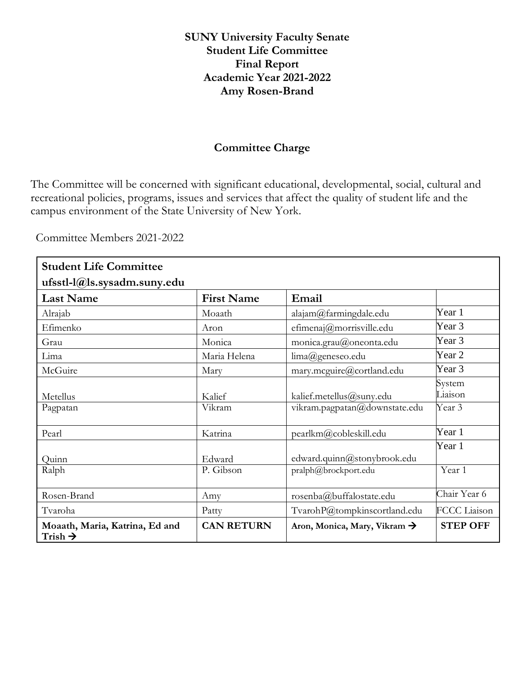## **SUNY University Faculty Senate Student Life Committee Final Report Academic Year 2021-2022 Amy Rosen-Brand**

## **Committee Charge**

The Committee will be concerned with significant educational, developmental, social, cultural and recreational policies, programs, issues and services that affect the quality of student life and the campus environment of the State University of New York.

Committee Members 2021-2022

| <b>Student Life Committee</b>                         |                   |                                          |                     |
|-------------------------------------------------------|-------------------|------------------------------------------|---------------------|
| $ufsstl-l@ls.sysadm.suny.edu$                         |                   |                                          |                     |
| <b>Last Name</b>                                      | <b>First Name</b> | Email                                    |                     |
| Alrajab                                               | Moaath            | alajam@farmingdale.edu                   | Year 1              |
| Efimenko                                              | Aron              | efimenaj@morrisville.edu                 | Year 3              |
| Grau                                                  | Monica            | monica.grau@oneonta.edu                  | Year 3              |
| Lima                                                  | Maria Helena      | lima@geneseo.edu                         | Year 2              |
| McGuire                                               | Mary              | mary.mcguire@cortland.edu                | Year 3              |
| Metellus                                              | Kalief            | kalief.metellus@suny.edu                 | System<br>Liaison   |
| Pagpatan                                              | Vikram            | vikram.pagpatan@downstate.edu            | Year 3              |
| Pearl                                                 | Katrina           | pearlkm@cobleskill.edu                   | Year 1              |
| Quinn                                                 | Edward            | edward.quinn@stonybrook.edu              | Year 1              |
| Ralph                                                 | P. Gibson         | pralph@brockport.edu                     | Year 1              |
| Rosen-Brand                                           | Amy               | rosenba@buffalostate.edu                 | Chair Year 6        |
| Tvaroha                                               | Patty             | TvarohP@tompkinscortland.edu             | <b>FCCC</b> Liaison |
| Moaath, Maria, Katrina, Ed and<br>Trish $\rightarrow$ | <b>CAN RETURN</b> | Aron, Monica, Mary, Vikram $\rightarrow$ | <b>STEP OFF</b>     |